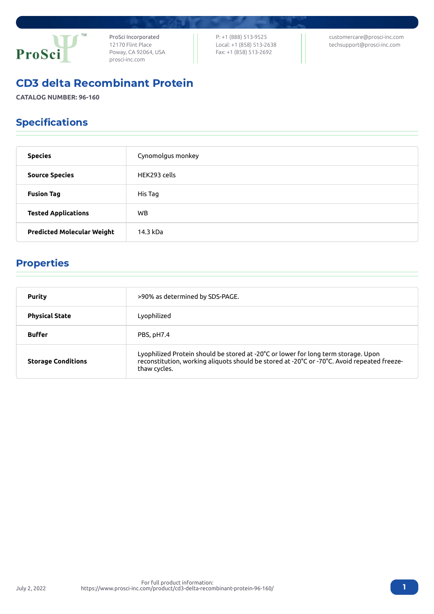

ProSci Incorporated 12170 Flint Place Poway, CA 92064, USA [prosci-inc.com](https://prosci-inc.com/)

P: +1 (888) 513-9525 Local: +1 (858) 513-2638 Fax: +1 (858) 513-2692

[customercare@prosci-inc.com](mailto:customercare@prosci-inc.com) [techsupport@prosci-inc.com](mailto:techsupport@prosci-inc.com)

# CD3 delta Recombinant Protein

**CATALOG NUMBER: 96-160**

# Specifications

| <b>Species</b>                    | Cynomolgus monkey |
|-----------------------------------|-------------------|
| <b>Source Species</b>             | HEK293 cells      |
| <b>Fusion Tag</b>                 | His Tag           |
| <b>Tested Applications</b>        | WB.               |
| <b>Predicted Molecular Weight</b> | 14.3 kDa          |

# Properties

| <b>Purity</b>             | >90% as determined by SDS-PAGE.                                                                                                                                                                   |
|---------------------------|---------------------------------------------------------------------------------------------------------------------------------------------------------------------------------------------------|
| <b>Physical State</b>     | Lyophilized                                                                                                                                                                                       |
| <b>Buffer</b>             | PBS, pH7.4                                                                                                                                                                                        |
| <b>Storage Conditions</b> | Lyophilized Protein should be stored at -20°C or lower for long term storage. Upon<br>reconstitution, working aliquots should be stored at -20°C or -70°C. Avoid repeated freeze-<br>thaw cycles. |